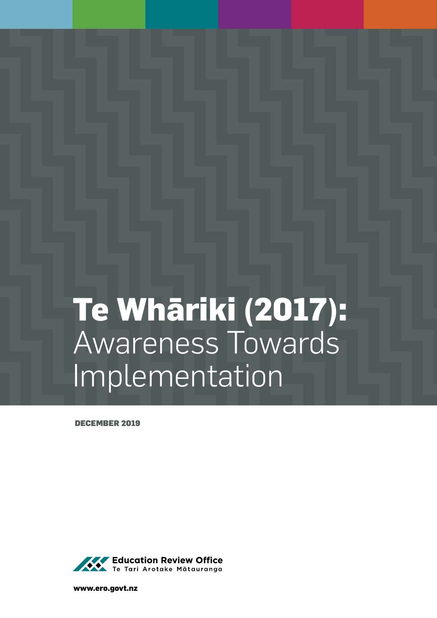# **Te Whāriki (2017):**  Awareness Towards Implementation

DECEMBER 2019



**www.ero.govt.nz**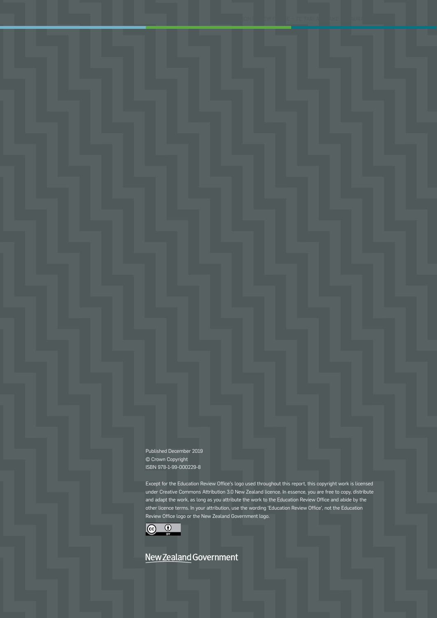Published December 2019 © Crown Copyright ISBN 978-1-99-000229-8

Except for the Education Review Office's logo used throughout this report, this copyright work is licensed under Creative Commons Attribution 3.0 New Zealand licence. In essence, you are free to copy, distribute and adapt the work, as long as you attribute the work to the Education Review Office and abide by the other licence terms. In your attribution, use the wording 'Education Review Office', not the Education Review Office logo or the New Zealand Government logo.



# New Zealand Government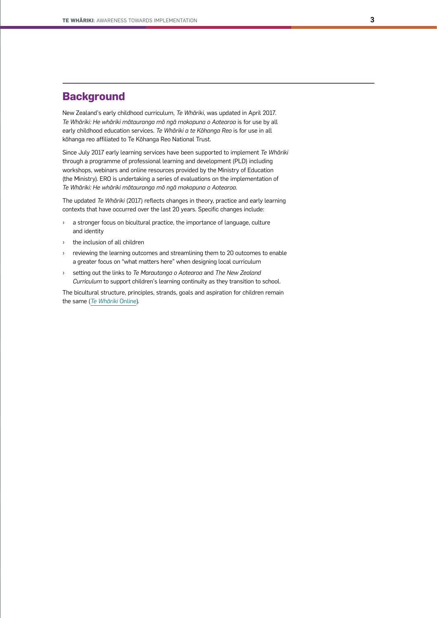## **Background**

New Zealand's early childhood curriculum, *Te Whāriki*, was updated in April 2017. *Te Whāriki: He whāriki mātauranga mō ngā mokopuna o Aotearoa* is for use by all early childhood education services. *Te Whāriki a te Kōhanga Reo* is for use in all kōhanga reo affiliated to Te Kōhanga Reo National Trust.

Since July 2017 early learning services have been supported to implement *Te Whāriki* through a programme of professional learning and development (PLD) including workshops, webinars and online resources provided by the Ministry of Education (the Ministry). ERO is undertaking a series of evaluations on the implementation of *Te Whāriki: He whāriki mātauranga mō ngā mokopuna o Aotearoa*.

The updated *Te Whāriki* (2017) reflects changes in theory, practice and early learning contexts that have occurred over the last 20 years. Specific changes include:

- › a stronger focus on bicultural practice, the importance of language, culture and identity
- the inclusion of all children
- reviewing the learning outcomes and streamlining them to 20 outcomes to enable a greater focus on "what matters here" when designing local curriculum
- › setting out the links to *Te Marautanga o Aotearoa* and *The New Zealand Curriculum* to support children's learning continuity as they transition to school.

The bicultural structure, principles, strands, goals and aspiration for children remain the same (*[Te Whāriki](https://tewhariki.tki.org.nz/en/te-whariki-foundations/the-story-of-te-whariki/)* Online).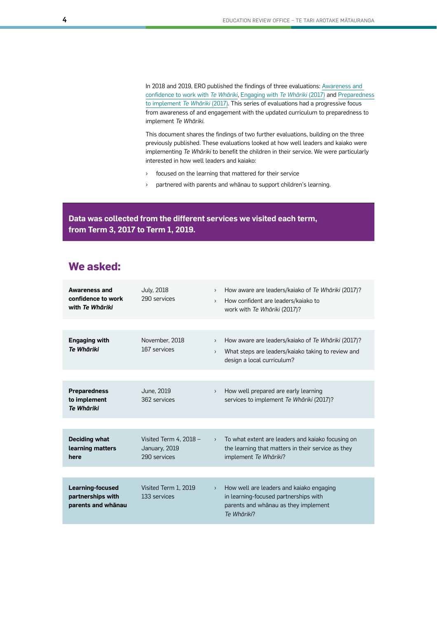In 2018 and 2019, ERO published the findings of three evaluations: [Awareness and](https://www.ero.govt.nz/publications/awareness-and-confidence-to-work-with-te-whariki-2017/)  [confidence to work with](https://www.ero.govt.nz/publications/awareness-and-confidence-to-work-with-te-whariki-2017/) *Te Whāriki*, [Engaging with](https://www.ero.govt.nz/publications/engaging-with-te-whariki-2017/) *Te Whāriki* (2017) and [Preparedness](https://www.ero.govt.nz/publications/preparedness-to-implement-te-whariki-2017/) [to implement](https://www.ero.govt.nz/publications/preparedness-to-implement-te-whariki-2017/) *Te Whāriki* (2017). This series of evaluations had a progressive focus from awareness of and engagement with the updated curriculum to preparedness to implement *Te Whāriki*.

This document shares the findings of two further evaluations, building on the three previously published. These evaluations looked at how well leaders and kaiako were implementing *Te Whāriki* to benefit the children in their service. We were particularly interested in how well leaders and kaiako:

- › focused on the learning that mattered for their service
- › partnered with parents and whānau to support children's learning.

**Data was collected from the different services we visited each term, from Term 3, 2017 to Term 1, 2019.** 

# **We asked:**

| <b>Awareness and</b><br>confidence to work<br>with Te Whāriki | <b>July, 2018</b><br>290 services                         | $\rightarrow$<br>$\mathcal{P}$    | How aware are leaders/kaiako of Te Whāriki (2017)?<br>How confident are leaders/kajako to<br>work with Te Whāriki (2017)?                |
|---------------------------------------------------------------|-----------------------------------------------------------|-----------------------------------|------------------------------------------------------------------------------------------------------------------------------------------|
| <b>Engaging with</b><br>Te Whāriki                            | November, 2018<br>167 services                            | $\left( \right)$<br>$\rightarrow$ | How aware are leaders/kaiako of Te Whāriki (2017)?<br>What steps are leaders/kaiako taking to review and<br>design a local curriculum?   |
|                                                               |                                                           |                                   |                                                                                                                                          |
| <b>Preparedness</b><br>to implement<br><b>Te Whāriki</b>      | June, 2019<br>362 services                                | $\,$                              | How well prepared are early learning<br>services to implement Te Whāriki (2017)?                                                         |
|                                                               |                                                           |                                   |                                                                                                                                          |
| <b>Deciding what</b><br>learning matters<br>here              | Visited Term 4, $2018 -$<br>January, 2019<br>290 services | $\left( \right)$                  | To what extent are leaders and kaiako focusing on<br>the learning that matters in their service as they<br>implement Te Whāriki?         |
|                                                               |                                                           |                                   |                                                                                                                                          |
| Learning-focused<br>partnerships with<br>parents and whanau   | Visited Term 1, 2019<br>133 services                      | $\rightarrow$                     | How well are leaders and kaiako engaging<br>in learning-focused partnerships with<br>parents and whānau as they implement<br>Te Whāriki? |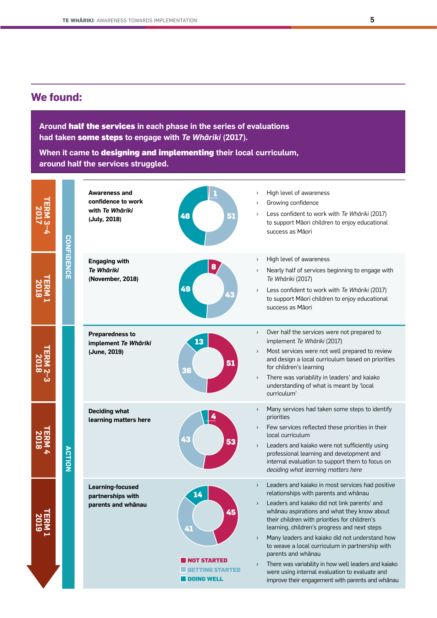# **We found:**

**Around** half the services **in each phase in the series of evaluations had taken** some steps **to engage with** *Te Whāriki* **(2017).**

**When it came to** designing and implementing **their local curriculum, around half the services struggled.**

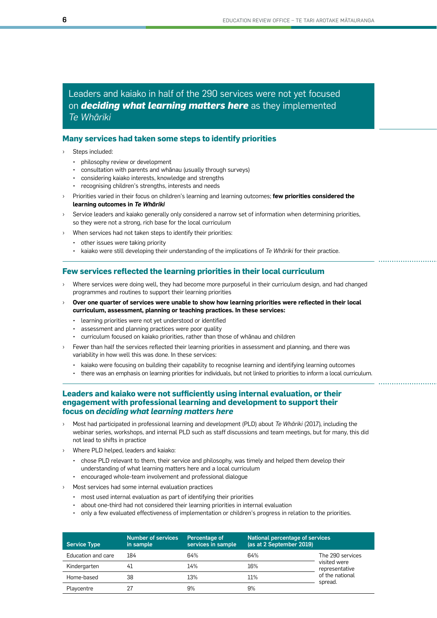Leaders and kaiako in half of the 290 services were not yet focused on *deciding what learning matters here* as they implemented *Te Whāriki*

#### **Many services had taken some steps to identify priorities**

- Steps included:
	- philosophy review or development
	- consultation with parents and whānau (usually through surveys)
	- considering kaiako interests, knowledge and strengths
	- recognising children's strengths, interests and needs
- Priorities varied in their focus on children's learning and learning outcomes; few priorities considered the **learning outcomes in** *Te Whāriki*
- Service leaders and kaiako generally only considered a narrow set of information when determining priorities, so they were not a strong, rich base for the local curriculum
- When services had not taken steps to identify their priorities:
	- other issues were taking priority
	- kaiako were still developing their understanding of the implications of *Te Whāriki* for their practice.

#### **Few services reflected the learning priorities in their local curriculum**

- Where services were doing well, they had become more purposeful in their curriculum design, and had changed programmes and routines to support their learning priorities
- › **Over one quarter of services were unable to show how learning priorities were reflected in their local curriculum, assessment, planning or teaching practices. In these services:**
	- learning priorities were not yet understood or identified
	- assessment and planning practices were poor quality
	- curriculum focused on kaiako priorities, rather than those of whānau and children
- Fewer than half the services reflected their learning priorities in assessment and planning, and there was variability in how well this was done. In these services:
	- kaiako were focusing on building their capability to recognise learning and identifying learning outcomes
	- there was an emphasis on learning priorities for individuals, but not linked to priorities to inform a local curriculum.

#### **Leaders and kaiako were not sufficiently using internal evaluation, or their engagement with professional learning and development to support their focus on** *deciding what learning matters here*

- › Most had participated in professional learning and development (PLD) about *Te Whāriki* (2017), including the webinar series, workshops, and internal PLD such as staff discussions and team meetings, but for many, this did not lead to shifts in practice
- › Where PLD helped, leaders and kaiako:
	- chose PLD relevant to them, their service and philosophy, was timely and helped them develop their understanding of what learning matters here and a local curriculum
	- encouraged whole-team involvement and professional dialogue
- Most services had some internal evaluation practices
	- most used internal evaluation as part of identifying their priorities
	- about one-third had not considered their learning priorities in internal evaluation
	- only a few evaluated effectiveness of implementation or children's progress in relation to the priorities.

| <b>Service Type</b> | <b>Number of services</b><br>in sample | Percentage of<br>services in sample | National percentage of services<br>(as at 2 September 2019) |                                                              |
|---------------------|----------------------------------------|-------------------------------------|-------------------------------------------------------------|--------------------------------------------------------------|
| Education and care  | 184                                    | 64%                                 | 64%                                                         | The 290 services                                             |
| Kindergarten        | 41                                     | 14%                                 | 16%                                                         | visited were<br>representative<br>of the national<br>spread. |
| Home-based          | 38                                     | 13%                                 | 11%                                                         |                                                              |
| Playcentre          | 27                                     | 9%                                  | 9%                                                          |                                                              |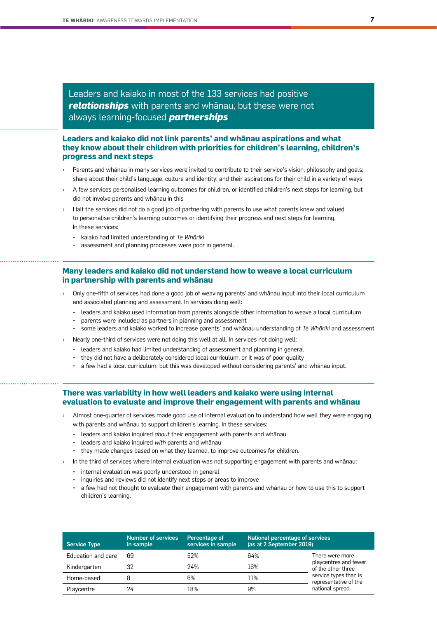Leaders and kaiako in most of the 133 services had positive *relationships* with parents and whānau, but these were not always learning-focused *partnerships*

#### **Leaders and kaiako did not link parents' and whānau aspirations and what they know about their children with priorities for children's learning, children's progress and next steps**

- Parents and whānau in many services were invited to contribute to their service's vision, philosophy and goals; share about their child's language, culture and identity; and their aspirations for their child in a variety of ways
- A few services personalised learning outcomes for children, or identified children's next steps for learning, but did not involve parents and whānau in this
- Half the services did not do a good job of partnering with parents to use what parents knew and valued to personalise children's learning outcomes or identifying their progress and next steps for learning. In these services:
	- kaiako had limited understanding of *Te Whāriki*
	- assessment and planning processes were poor in general.

#### **Many leaders and kaiako did not understand how to weave a local curriculum in partnership with parents and whānau**

- › Only one-fifth of services had done a good job of weaving parents' and whānau input into their local curriculum and associated planning and assessment. In services doing well:
	- leaders and kaiako used information from parents alongside other information to weave a local curriculum
	- parents were included as partners in planning and assessment
	- some leaders and kaiako worked to increase parents' and whānau understanding of *Te Whāriki* and assessment
- Nearly one-third of services were not doing this well at all. In services not doing well:
	- leaders and kaiako had limited understanding of assessment and planning in general
	- they did not have a deliberately considered local curriculum, or it was of poor quality
	- a few had a local curriculum, but this was developed without considering parents' and whānau input.

#### **There was variability in how well leaders and kaiako were using internal evaluation to evaluate and improve their engagement with parents and whānau**

- Almost one-quarter of services made good use of internal evaluation to understand how well they were engaging with parents and whānau to support children's learning. In these services:
	- leaders and kaiako inquired *about* their engagement with parents and whānau
	- leaders and kaiako inquired *with* parents and whānau
	- they made changes based on what they learned, to improve outcomes for children.
	- In the third of services where internal evaluation was not supporting engagement with parents and whānau:
		- internal evaluation was poorly understood in general
		- inquiries and reviews did not identify next steps or areas to improve
		- a few had not thought to evaluate their engagement with parents and whānau or how to use this to support children's learning.

| <b>Service Type</b> | <b>Number of services</b><br>in sample | Percentage of<br>services in sample | <b>National percentage of services</b><br>(as at 2 September 2019) |                                                                                                                                      |
|---------------------|----------------------------------------|-------------------------------------|--------------------------------------------------------------------|--------------------------------------------------------------------------------------------------------------------------------------|
| Education and care  | 69                                     | .52%                                | 64%                                                                | There were more<br>playcentres and fewer<br>of the other three<br>service types than is<br>representative of the<br>national spread. |
| Kindergarten        | 32                                     | 24%                                 | 16%                                                                |                                                                                                                                      |
| Home-based          |                                        | 6%                                  | 11%                                                                |                                                                                                                                      |
| Playcentre          | 24                                     | 18%                                 | 9%                                                                 |                                                                                                                                      |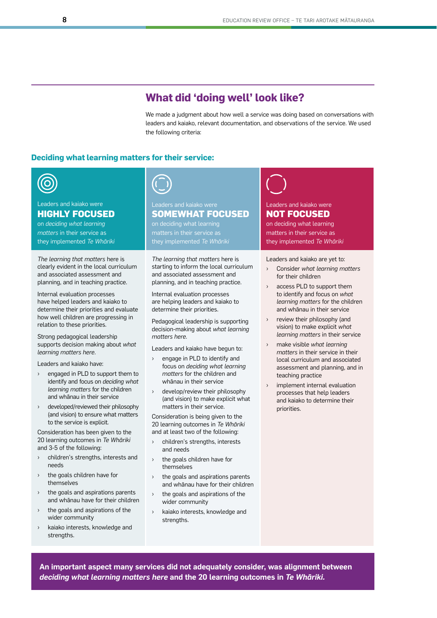# **What did 'doing well' look like?**

We made a judgment about how well a service was doing based on conversations with leaders and kaiako, relevant documentation, and observations of the service. We used the following criteria:

#### **Deciding what learning matters for their service:**



#### Leaders and kaiako were **HIGHLY FOCUSED**

on *deciding what learning matters* in their service as they implemented *Te Whāriki*

*The learning that matters* here is clearly evident in the local curriculum and associated assessment and planning, and in teaching practice.

Internal evaluation processes have helped leaders and kaiako to determine their priorities and evaluate how well children are progressing in relation to these priorities*.*

Strong pedagogical leadership supports decision making about *what learning matters here*.

Leaders and kaiako have:

- engaged in PLD to support them to identify and focus on *deciding what learning matters* for the children and whānau in their service
- developed/reviewed their philosophy (and vision) to ensure what matters to the service is explicit.

Consideration has been given to the 20 learning outcomes in *Te Whāriki* and 3-5 of the following:

- › children's strengths, interests and needs
- › the goals children have for themselves
- › the goals and aspirations parents and whānau have for their children
- the goals and aspirations of the wider community
- › kaiako interests, knowledge and strengths.



# **SOMEWHAT FOCUSED**

matters in their service as

*The learning that matters* here is starting to inform the local curriculum and associated assessment and planning, and in teaching practice.

Internal evaluation processes are helping leaders and kaiako to determine their priorities.

Pedagogical leadership is supporting decision-making about *what learning matters here.*

Leaders and kaiako have begun to:

- › engage in PLD to identify and focus on *deciding what learning matters* for the children and whānau in their service
- › develop/review their philosophy (and vision) to make explicit what matters in their service.

Consideration is being given to the 20 learning outcomes in *Te Whāriki* and at least two of the following:

- › children's strengths, interests and needs
- the goals children have for themselves
- the goals and aspirations parents and whānau have for their children
- the goals and aspirations of the wider community
- › kaiako interests, knowledge and strengths.

# Leaders and kaiako were

# **NOT FOCUSED**

on deciding what learning matters in their service as they implemented *Te Whāriki*

Leaders and kaiako are yet to:

- › Consider *what learning matters* for their children
- access PLD to support them to identify and focus on *what learning matters* for the children and whānau in their service
- review their philosophy (and vision) to make explicit *what learning matters* in their service
- › make visible *what learning matters* in their service in their local curriculum and associated assessment and planning, and in teaching practice
- implement internal evaluation processes that help leaders and kaiako to determine their priorities.

**An important aspect many services did not adequately consider, was alignment between**  *deciding what learning matters here* **and the 20 learning outcomes in** *Te Whāriki.*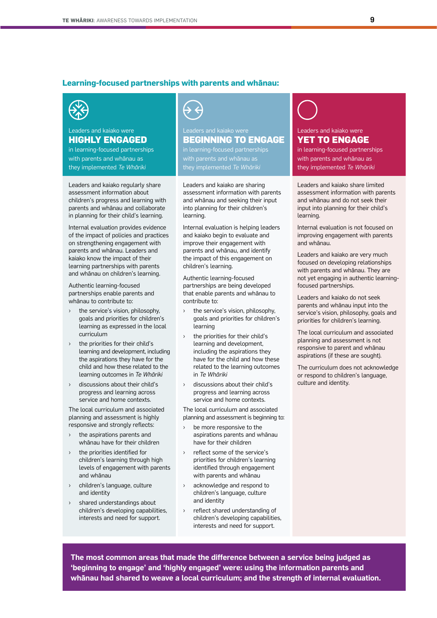#### **Learning-focused partnerships with parents and whānau:**



#### Leaders and kaiako were **HIGHLY ENGAGED**

in learning-focused partnerships with parents and whānau as they implemented *Te Whāriki*

Leaders and kaiako regularly share assessment information about children's progress and learning with parents and whānau and collaborate in planning for their child's learning.

Internal evaluation provides evidence of the impact of policies and practices on strengthening engagement with parents and whānau. Leaders and kaiako know the impact of their learning partnerships with parents and whānau on children's learning.

Authentic learning-focused partnerships enable parents and whānau to contribute to:

- the service's vision, philosophy, goals and priorities for children's learning as expressed in the local curriculum
- the priorities for their child's learning and development, including the aspirations they have for the child and how these related to the learning outcomes in *Te Whāriki*
- › discussions about their child's progress and learning across service and home contexts.

The local curriculum and associated planning and assessment is highly responsive and strongly reflects:

- the aspirations parents and whānau have for their children
- the priorities identified for children's learning through high levels of engagement with parents and whānau
- children's language, culture and identity
- › shared understandings about children's developing capabilities, interests and need for support.



### Leaders and kaiako were **BEGINNING TO ENGAGE** in learning-focused partnerships

with parents and whānau as

Leaders and kaiako are sharing assessment information with parents and whānau and seeking their input into planning for their children's learning.

Internal evaluation is helping leaders and kaiako begin to evaluate and improve their engagement with parents and whānau, and identify the impact of this engagement on children's learning.

Authentic learning-focused partnerships are being developed that enable parents and whānau to contribute to:

- the service's vision, philosophy, goals and priorities for children's learning
- the priorities for their child's learning and development, including the aspirations they have for the child and how these related to the learning outcomes in *Te Whāriki*
- discussions about their child's progress and learning across service and home contexts.

The local curriculum and associated planning and assessment is beginning to:

- be more responsive to the aspirations parents and whānau have for their children
- reflect some of the service's priorities for children's learning identified through engagement with parents and whānau
- acknowledge and respond to children's language, culture and identity
- › reflect shared understanding of children's developing capabilities, interests and need for support.

Leaders and kaiako were **YET TO ENGAGE** in learning-focused partnerships

with parents and whānau as they implemented *Te Whāriki*

Leaders and kaiako share limited assessment information with parents and whānau and do not seek their input into planning for their child's learning.

Internal evaluation is not focused on improving engagement with parents and whānau.

Leaders and kaiako are very much focused on developing relationships with parents and whānau. They are not yet engaging in authentic learningfocused partnerships.

Leaders and kaiako do not seek parents and whānau input into the service's vision, philosophy, goals and priorities for children's learning.

The local curriculum and associated planning and assessment is not responsive to parent and whānau aspirations (if these are sought).

The curriculum does not acknowledge or respond to children's language, culture and identity.

**The most common areas that made the difference between a service being judged as 'beginning to engage' and 'highly engaged' were: using the information parents and whānau had shared to weave a local curriculum; and the strength of internal evaluation.**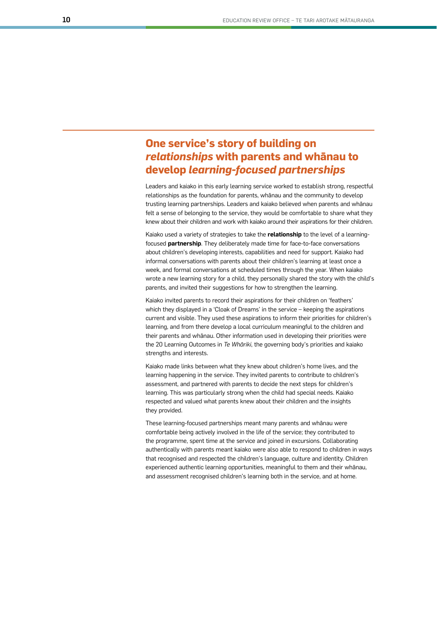# **One service's story of building on**  *relationships* **with parents and whānau to develop** *learning-focused partnerships*

Leaders and kaiako in this early learning service worked to establish strong, respectful relationships as the foundation for parents, whānau and the community to develop trusting learning partnerships. Leaders and kaiako believed when parents and whānau felt a sense of belonging to the service, they would be comfortable to share what they knew about their children and work with kaiako around their aspirations for their children.

Kaiako used a variety of strategies to take the **relationship** to the level of a learningfocused **partnership**. They deliberately made time for face-to-face conversations about children's developing interests, capabilities and need for support. Kaiako had informal conversations with parents about their children's learning at least once a week, and formal conversations at scheduled times through the year. When kaiako wrote a new learning story for a child, they personally shared the story with the child's parents, and invited their suggestions for how to strengthen the learning.

Kaiako invited parents to record their aspirations for their children on 'feathers' which they displayed in a 'Cloak of Dreams' in the service – keeping the aspirations current and visible. They used these aspirations to inform their priorities for children's learning, and from there develop a local curriculum meaningful to the children and their parents and whānau. Other information used in developing their priorities were the 20 Learning Outcomes in *Te Whāriki*, the governing body's priorities and kaiako strengths and interests.

Kaiako made links between what they knew about children's home lives, and the learning happening in the service. They invited parents to contribute to children's assessment, and partnered with parents to decide the next steps for children's learning. This was particularly strong when the child had special needs. Kaiako respected and valued what parents knew about their children and the insights they provided.

These learning-focused partnerships meant many parents and whānau were comfortable being actively involved in the life of the service; they contributed to the programme, spent time at the service and joined in excursions. Collaborating authentically with parents meant kaiako were also able to respond to children in ways that recognised and respected the children's language, culture and identity. Children experienced authentic learning opportunities, meaningful to them and their whānau, and assessment recognised children's learning both in the service, and at home.